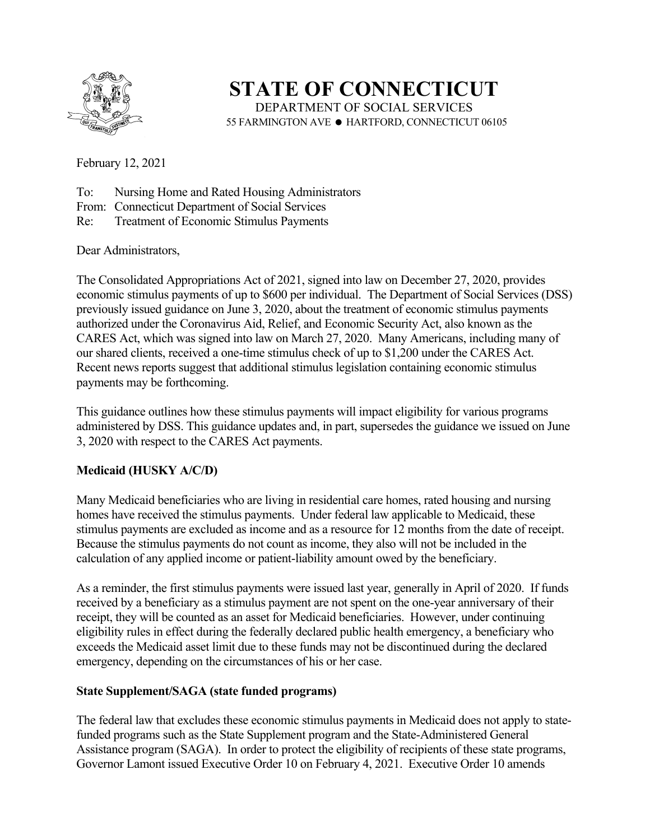

**STATE OF CONNECTICUT**  DEPARTMENT OF SOCIAL SERVICES 55 FARMINGTON AVE · HARTFORD, CONNECTICUT 06105

February 12, 2021

- To: Nursing Home and Rated Housing Administrators
- From: Connecticut Department of Social Services
- Re: Treatment of Economic Stimulus Payments

Dear Administrators,

The Consolidated Appropriations Act of 2021, signed into law on December 27, 2020, provides economic stimulus payments of up to \$600 per individual. The Department of Social Services (DSS) previously issued guidance on June 3, 2020, about the treatment of economic stimulus payments authorized under the Coronavirus Aid, Relief, and Economic Security Act, also known as the CARES Act, which was signed into law on March 27, 2020. Many Americans, including many of our shared clients, received a one-time stimulus check of up to \$1,200 under the CARES Act. Recent news reports suggest that additional stimulus legislation containing economic stimulus payments may be forthcoming.

This guidance outlines how these stimulus payments will impact eligibility for various programs administered by DSS. This guidance updates and, in part, supersedes the guidance we issued on June 3, 2020 with respect to the CARES Act payments.

## **Medicaid (HUSKY A/C/D)**

Many Medicaid beneficiaries who are living in residential care homes, rated housing and nursing homes have received the stimulus payments. Under federal law applicable to Medicaid, these stimulus payments are excluded as income and as a resource for 12 months from the date of receipt. Because the stimulus payments do not count as income, they also will not be included in the calculation of any applied income or patient-liability amount owed by the beneficiary.

As a reminder, the first stimulus payments were issued last year, generally in April of 2020. If funds received by a beneficiary as a stimulus payment are not spent on the one-year anniversary of their receipt, they will be counted as an asset for Medicaid beneficiaries. However, under continuing eligibility rules in effect during the federally declared public health emergency, a beneficiary who exceeds the Medicaid asset limit due to these funds may not be discontinued during the declared emergency, depending on the circumstances of his or her case.

## **State Supplement/SAGA (state funded programs)**

The federal law that excludes these economic stimulus payments in Medicaid does not apply to statefunded programs such as the State Supplement program and the State-Administered General Assistance program (SAGA). In order to protect the eligibility of recipients of these state programs, Governor Lamont issued Executive Order 10 on February 4, 2021. Executive Order 10 amends